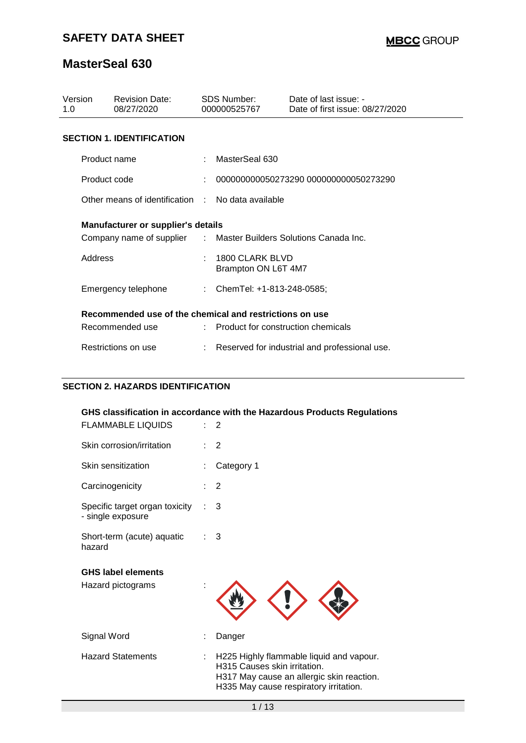# **SAFETY DATA SHEET**

### **MasterSeal 630**

| Version<br>1.0 |                                                         | <b>Revision Date:</b><br>08/27/2020       |  | SDS Number:<br>000000525767                                      | Date of last issue: -<br>Date of first issue: 08/27/2020 |  |  |  |
|----------------|---------------------------------------------------------|-------------------------------------------|--|------------------------------------------------------------------|----------------------------------------------------------|--|--|--|
|                | <b>SECTION 1. IDENTIFICATION</b>                        |                                           |  |                                                                  |                                                          |  |  |  |
|                | Product name                                            |                                           |  | MasterSeal 630                                                   |                                                          |  |  |  |
|                | Product code                                            |                                           |  | 000000000050273290 000000000050273290                            |                                                          |  |  |  |
|                | Other means of identification                           |                                           |  | $\therefore$ No data available                                   |                                                          |  |  |  |
|                |                                                         | <b>Manufacturer or supplier's details</b> |  |                                                                  |                                                          |  |  |  |
|                |                                                         |                                           |  | Company name of supplier : Master Builders Solutions Canada Inc. |                                                          |  |  |  |
|                | Address                                                 |                                           |  | 1800 CLARK BLVD<br>Brampton ON L6T 4M7                           |                                                          |  |  |  |
|                | Emergency telephone                                     |                                           |  | : ChemTel: +1-813-248-0585;                                      |                                                          |  |  |  |
|                | Recommended use of the chemical and restrictions on use |                                           |  |                                                                  |                                                          |  |  |  |
|                |                                                         | Recommended use                           |  | : Product for construction chemicals                             |                                                          |  |  |  |
|                | Restrictions on use                                     |                                           |  |                                                                  | Reserved for industrial and professional use.            |  |  |  |

### **SECTION 2. HAZARDS IDENTIFICATION**

| GHS classification in accordance with the Hazardous Products Regulations |    |                                                                                                                                                                 |  |  |  |  |  |
|--------------------------------------------------------------------------|----|-----------------------------------------------------------------------------------------------------------------------------------------------------------------|--|--|--|--|--|
| <b>FLAMMABLE LIQUIDS</b>                                                 |    | 2                                                                                                                                                               |  |  |  |  |  |
| Skin corrosion/irritation                                                |    | 2                                                                                                                                                               |  |  |  |  |  |
| Skin sensitization                                                       |    | Category 1                                                                                                                                                      |  |  |  |  |  |
| Carcinogenicity                                                          |    | 2                                                                                                                                                               |  |  |  |  |  |
| Specific target organ toxicity<br>- single exposure                      |    | 3                                                                                                                                                               |  |  |  |  |  |
| Short-term (acute) aquatic<br>hazard                                     |    | 3                                                                                                                                                               |  |  |  |  |  |
| <b>GHS label elements</b>                                                |    |                                                                                                                                                                 |  |  |  |  |  |
| Hazard pictograms                                                        |    |                                                                                                                                                                 |  |  |  |  |  |
| Signal Word                                                              |    | Danger                                                                                                                                                          |  |  |  |  |  |
| <b>Hazard Statements</b>                                                 | ÷. | H225 Highly flammable liquid and vapour.<br>H315 Causes skin irritation.<br>H317 May cause an allergic skin reaction.<br>H335 May cause respiratory irritation. |  |  |  |  |  |
|                                                                          |    | 1/13                                                                                                                                                            |  |  |  |  |  |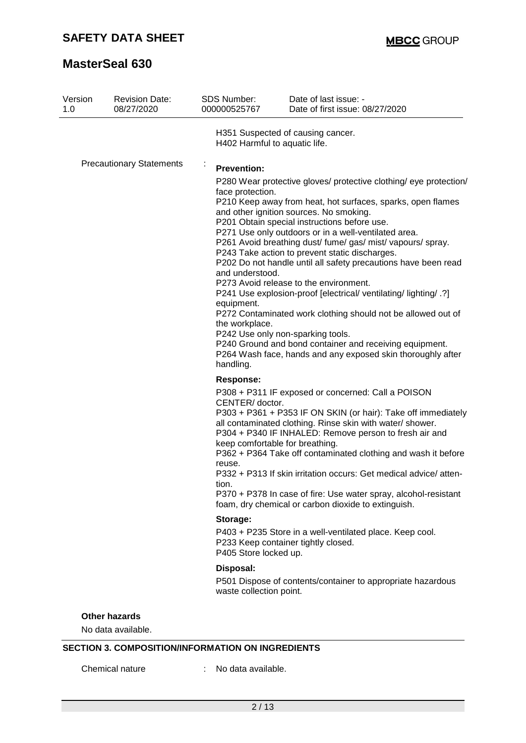| Version<br>1.0                  | <b>Revision Date:</b><br>08/27/2020        | <b>SDS Number:</b><br>000000525767                                                                                                                                                                                                                                                                                                                                                                                                                                                                                                                                                                                                                                                                                                                                                                                                                                                                                                       | Date of last issue: -<br>Date of first issue: 08/27/2020                                                                                                                                                                                                                                                                                                                                                                                                                                                  |  |
|---------------------------------|--------------------------------------------|------------------------------------------------------------------------------------------------------------------------------------------------------------------------------------------------------------------------------------------------------------------------------------------------------------------------------------------------------------------------------------------------------------------------------------------------------------------------------------------------------------------------------------------------------------------------------------------------------------------------------------------------------------------------------------------------------------------------------------------------------------------------------------------------------------------------------------------------------------------------------------------------------------------------------------------|-----------------------------------------------------------------------------------------------------------------------------------------------------------------------------------------------------------------------------------------------------------------------------------------------------------------------------------------------------------------------------------------------------------------------------------------------------------------------------------------------------------|--|
|                                 |                                            | H402 Harmful to aquatic life.                                                                                                                                                                                                                                                                                                                                                                                                                                                                                                                                                                                                                                                                                                                                                                                                                                                                                                            | H351 Suspected of causing cancer.                                                                                                                                                                                                                                                                                                                                                                                                                                                                         |  |
| <b>Precautionary Statements</b> |                                            | $\cdot$<br><b>Prevention:</b><br>P280 Wear protective gloves/ protective clothing/ eye protection/<br>face protection.<br>P210 Keep away from heat, hot surfaces, sparks, open flames<br>and other ignition sources. No smoking.<br>P201 Obtain special instructions before use.<br>P271 Use only outdoors or in a well-ventilated area.<br>P261 Avoid breathing dust/ fume/ gas/ mist/ vapours/ spray.<br>P243 Take action to prevent static discharges.<br>P202 Do not handle until all safety precautions have been read<br>and understood.<br>P273 Avoid release to the environment.<br>P241 Use explosion-proof [electrical/ ventilating/ lighting/ .?]<br>equipment.<br>P272 Contaminated work clothing should not be allowed out of<br>the workplace.<br>P242 Use only non-sparking tools.<br>P240 Ground and bond container and receiving equipment.<br>P264 Wash face, hands and any exposed skin thoroughly after<br>handling. |                                                                                                                                                                                                                                                                                                                                                                                                                                                                                                           |  |
|                                 |                                            | <b>Response:</b><br>CENTER/doctor.<br>keep comfortable for breathing.<br>reuse.<br>tion.                                                                                                                                                                                                                                                                                                                                                                                                                                                                                                                                                                                                                                                                                                                                                                                                                                                 | P308 + P311 IF exposed or concerned: Call a POISON<br>P303 + P361 + P353 IF ON SKIN (or hair): Take off immediately<br>all contaminated clothing. Rinse skin with water/ shower.<br>P304 + P340 IF INHALED: Remove person to fresh air and<br>P362 + P364 Take off contaminated clothing and wash it before<br>P332 + P313 If skin irritation occurs: Get medical advice/atten-<br>P370 + P378 In case of fire: Use water spray, alcohol-resistant<br>foam, dry chemical or carbon dioxide to extinguish. |  |
|                                 |                                            | Storage:<br>P405 Store locked up.                                                                                                                                                                                                                                                                                                                                                                                                                                                                                                                                                                                                                                                                                                                                                                                                                                                                                                        | P403 + P235 Store in a well-ventilated place. Keep cool.<br>P233 Keep container tightly closed.                                                                                                                                                                                                                                                                                                                                                                                                           |  |
|                                 |                                            | Disposal:<br>waste collection point.                                                                                                                                                                                                                                                                                                                                                                                                                                                                                                                                                                                                                                                                                                                                                                                                                                                                                                     | P501 Dispose of contents/container to appropriate hazardous                                                                                                                                                                                                                                                                                                                                                                                                                                               |  |
|                                 | <b>Other hazards</b><br>No data available. |                                                                                                                                                                                                                                                                                                                                                                                                                                                                                                                                                                                                                                                                                                                                                                                                                                                                                                                                          |                                                                                                                                                                                                                                                                                                                                                                                                                                                                                                           |  |

### **SECTION 3. COMPOSITION/INFORMATION ON INGREDIENTS**

Chemical nature : No data available.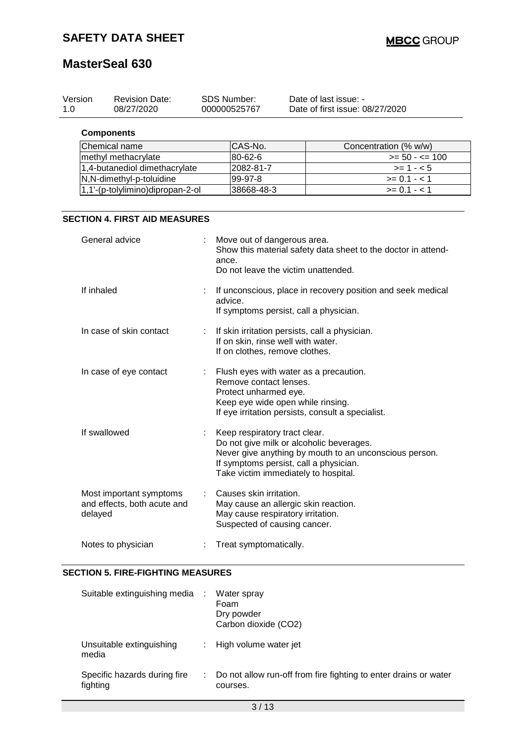| Version<br>1.0 | <b>Revision Date:</b><br>08/27/2020 | <b>SDS Number:</b><br>000000525767 | Date of last issue: -<br>Date of first issue: 08/27/2020 |                       |
|----------------|-------------------------------------|------------------------------------|----------------------------------------------------------|-----------------------|
|                | <b>Components</b>                   |                                    |                                                          |                       |
|                | Chemical name                       | CAS-No.                            |                                                          | Concentration (% w/w) |
|                | methyl methacrylate                 | 80-62-6                            |                                                          | $>= 50 - 5 = 100$     |
|                | 1,4-butanediol dimethacrylate       | 2082-81-7                          |                                                          | $>= 1 - 5$            |
|                | N,N-dimethyl-p-toluidine            | 99-97-8                            |                                                          | $>= 0.1 - 1$          |
|                | 1,1'-(p-tolylimino)dipropan-2-ol    | 38668-48-3                         |                                                          | $>= 0.1 - 1.1$        |
|                |                                     |                                    |                                                          |                       |

#### **SECTION 4. FIRST AID MEASURES**

| General advice                                                    | Move out of dangerous area.<br>Show this material safety data sheet to the doctor in attend-<br>ance.<br>Do not leave the victim unattended.                                                                          |
|-------------------------------------------------------------------|-----------------------------------------------------------------------------------------------------------------------------------------------------------------------------------------------------------------------|
| If inhaled                                                        | If unconscious, place in recovery position and seek medical<br>advice.<br>If symptoms persist, call a physician.                                                                                                      |
| In case of skin contact                                           | If skin irritation persists, call a physician.<br>If on skin, rinse well with water.<br>If on clothes, remove clothes.                                                                                                |
| In case of eye contact                                            | : Flush eyes with water as a precaution.<br>Remove contact lenses.<br>Protect unharmed eye.<br>Keep eye wide open while rinsing.<br>If eye irritation persists, consult a specialist.                                 |
| If swallowed                                                      | Keep respiratory tract clear.<br>Do not give milk or alcoholic beverages.<br>Never give anything by mouth to an unconscious person.<br>If symptoms persist, call a physician.<br>Take victim immediately to hospital. |
| Most important symptoms<br>and effects, both acute and<br>delayed | Causes skin irritation.<br>May cause an allergic skin reaction.<br>May cause respiratory irritation.<br>Suspected of causing cancer.                                                                                  |
| Notes to physician                                                | Treat symptomatically.                                                                                                                                                                                                |

#### **SECTION 5. FIRE-FIGHTING MEASURES**

| Suitable extinguishing media             | ÷    | Water spray<br>Foam<br>Dry powder<br>Carbon dioxide (CO2)                    |
|------------------------------------------|------|------------------------------------------------------------------------------|
| Unsuitable extinguishing<br>media        |      | High volume water jet                                                        |
| Specific hazards during fire<br>fighting | di s | Do not allow run-off from fire fighting to enter drains or water<br>courses. |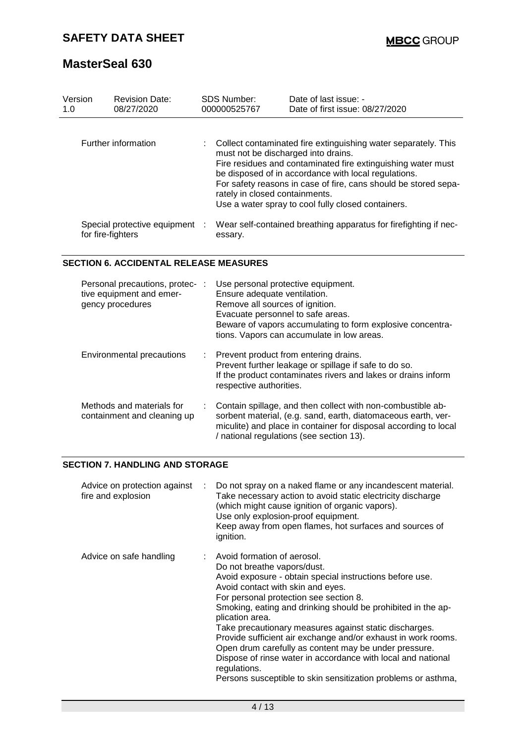| Version<br>1.0 | <b>Revision Date:</b><br>08/27/2020                 | <b>SDS Number:</b><br>000000525767                                    | Date of last issue: -<br>Date of first issue: 08/27/2020                                                                                                                                                                                                                                                        |
|----------------|-----------------------------------------------------|-----------------------------------------------------------------------|-----------------------------------------------------------------------------------------------------------------------------------------------------------------------------------------------------------------------------------------------------------------------------------------------------------------|
|                | Further information                                 | must not be discharged into drains.<br>rately in closed containments. | Collect contaminated fire extinguishing water separately. This<br>Fire residues and contaminated fire extinguishing water must<br>be disposed of in accordance with local regulations.<br>For safety reasons in case of fire, cans should be stored sepa-<br>Use a water spray to cool fully closed containers. |
|                | Special protective equipment :<br>for fire-fighters | essary.                                                               | Wear self-contained breathing apparatus for firefighting if nec-                                                                                                                                                                                                                                                |

### **SECTION 6. ACCIDENTAL RELEASE MEASURES**

| Personal precautions, protec- :<br>tive equipment and emer-<br>gency procedures |    | Use personal protective equipment.<br>Ensure adequate ventilation.<br>Remove all sources of ignition.<br>Evacuate personnel to safe areas.<br>Beware of vapors accumulating to form explosive concentra-<br>tions. Vapors can accumulate in low areas. |
|---------------------------------------------------------------------------------|----|--------------------------------------------------------------------------------------------------------------------------------------------------------------------------------------------------------------------------------------------------------|
| <b>Environmental precautions</b>                                                | t. | Prevent product from entering drains.<br>Prevent further leakage or spillage if safe to do so.<br>If the product contaminates rivers and lakes or drains inform<br>respective authorities.                                                             |
| Methods and materials for<br>containment and cleaning up                        |    | Contain spillage, and then collect with non-combustible ab-<br>sorbent material, (e.g. sand, earth, diatomaceous earth, ver-<br>miculite) and place in container for disposal according to local<br>/ national regulations (see section 13).           |

#### **SECTION 7. HANDLING AND STORAGE**

| Advice on protection against<br>÷<br>fire and explosion | Do not spray on a naked flame or any incandescent material.<br>Take necessary action to avoid static electricity discharge<br>(which might cause ignition of organic vapors).<br>Use only explosion-proof equipment.<br>Keep away from open flames, hot surfaces and sources of<br>ignition.                                                                                                                                                                                                                                                                                                                                    |
|---------------------------------------------------------|---------------------------------------------------------------------------------------------------------------------------------------------------------------------------------------------------------------------------------------------------------------------------------------------------------------------------------------------------------------------------------------------------------------------------------------------------------------------------------------------------------------------------------------------------------------------------------------------------------------------------------|
| Advice on safe handling                                 | : Avoid formation of aerosol.<br>Do not breathe vapors/dust.<br>Avoid exposure - obtain special instructions before use.<br>Avoid contact with skin and eyes.<br>For personal protection see section 8.<br>Smoking, eating and drinking should be prohibited in the ap-<br>plication area.<br>Take precautionary measures against static discharges.<br>Provide sufficient air exchange and/or exhaust in work rooms.<br>Open drum carefully as content may be under pressure.<br>Dispose of rinse water in accordance with local and national<br>regulations.<br>Persons susceptible to skin sensitization problems or asthma, |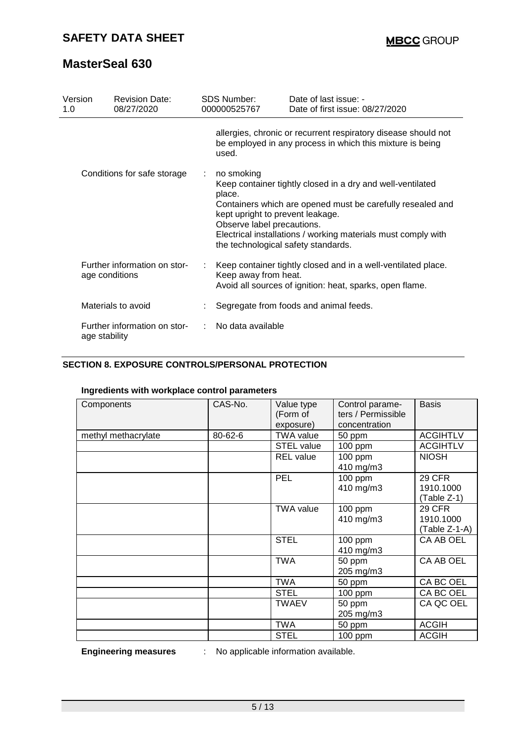| Version<br>1.0                                 | <b>Revision Date:</b><br>08/27/2020 |   | <b>SDS Number:</b><br>000000525767                                                                                                                                                                                                                                                                                         | Date of last issue: -<br>Date of first issue: 08/27/2020                                                                    |  |
|------------------------------------------------|-------------------------------------|---|----------------------------------------------------------------------------------------------------------------------------------------------------------------------------------------------------------------------------------------------------------------------------------------------------------------------------|-----------------------------------------------------------------------------------------------------------------------------|--|
|                                                |                                     |   | used.                                                                                                                                                                                                                                                                                                                      | allergies, chronic or recurrent respiratory disease should not<br>be employed in any process in which this mixture is being |  |
| Conditions for safe storage                    |                                     | ÷ | no smoking<br>Keep container tightly closed in a dry and well-ventilated<br>place.<br>Containers which are opened must be carefully resealed and<br>kept upright to prevent leakage.<br>Observe label precautions.<br>Electrical installations / working materials must comply with<br>the technological safety standards. |                                                                                                                             |  |
| Further information on stor-<br>age conditions |                                     |   | Keep container tightly closed and in a well-ventilated place.<br>Keep away from heat.<br>Avoid all sources of ignition: heat, sparks, open flame.                                                                                                                                                                          |                                                                                                                             |  |
| Materials to avoid                             |                                     |   |                                                                                                                                                                                                                                                                                                                            | Segregate from foods and animal feeds.                                                                                      |  |
| Further information on stor-<br>age stability  |                                     |   | No data available                                                                                                                                                                                                                                                                                                          |                                                                                                                             |  |

### **SECTION 8. EXPOSURE CONTROLS/PERSONAL PROTECTION**

#### **Ingredients with workplace control parameters**

| Components          | CAS-No. | Value type<br>(Form of<br>exposure) | Control parame-<br>ters / Permissible<br>concentration | <b>Basis</b>                                |
|---------------------|---------|-------------------------------------|--------------------------------------------------------|---------------------------------------------|
| methyl methacrylate | 80-62-6 | <b>TWA value</b>                    | 50 ppm                                                 | <b>ACGIHTLV</b>                             |
|                     |         | <b>STEL value</b>                   | 100 ppm                                                | <b>ACGIHTLV</b>                             |
|                     |         | <b>REL</b> value                    | 100 ppm<br>410 mg/m3                                   | <b>NIOSH</b>                                |
|                     |         | PEL                                 | $100$ ppm<br>410 mg/m3                                 | <b>29 CFR</b><br>1910.1000<br>(Table Z-1)   |
|                     |         | <b>TWA value</b>                    | 100 ppm<br>410 mg/m3                                   | <b>29 CFR</b><br>1910.1000<br>(Table Z-1-A) |
|                     |         | <b>STEL</b>                         | $100$ ppm<br>410 mg/m3                                 | CA AB OEL                                   |
|                     |         | <b>TWA</b>                          | 50 ppm<br>205 mg/m3                                    | CA AB OEL                                   |
|                     |         | <b>TWA</b>                          | 50 ppm                                                 | CA BC OEL                                   |
|                     |         | <b>STEL</b>                         | $100$ ppm                                              | CA BC OEL                                   |
|                     |         | <b>TWAEV</b>                        | 50 ppm                                                 | CA QC OEL                                   |
|                     |         |                                     | 205 mg/m3                                              |                                             |
|                     |         | <b>TWA</b>                          | 50 ppm                                                 | <b>ACGIH</b>                                |
|                     |         | <b>STEL</b>                         | 100 ppm                                                | <b>ACGIH</b>                                |

**Engineering measures** : No applicable information available.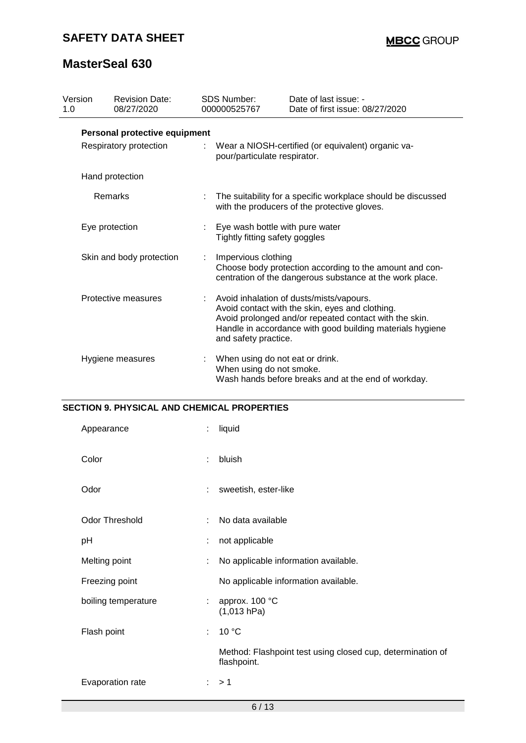# **SAFETY DATA SHEET**

# **MasterSeal 630**

| Version<br>1.0 |                               | <b>Revision Date:</b><br>08/27/2020 |   | <b>SDS Number:</b><br>000000525767                                                                                                                                                                                                         | Date of last issue: -<br>Date of first issue: 08/27/2020                                                     |  |  |  |
|----------------|-------------------------------|-------------------------------------|---|--------------------------------------------------------------------------------------------------------------------------------------------------------------------------------------------------------------------------------------------|--------------------------------------------------------------------------------------------------------------|--|--|--|
|                | Personal protective equipment |                                     |   |                                                                                                                                                                                                                                            |                                                                                                              |  |  |  |
|                | Respiratory protection        |                                     |   |                                                                                                                                                                                                                                            | Wear a NIOSH-certified (or equivalent) organic va-<br>pour/particulate respirator.                           |  |  |  |
|                |                               | Hand protection                     |   |                                                                                                                                                                                                                                            |                                                                                                              |  |  |  |
|                | Remarks                       |                                     | ÷ |                                                                                                                                                                                                                                            | The suitability for a specific workplace should be discussed<br>with the producers of the protective gloves. |  |  |  |
|                | Eye protection                |                                     |   | Eye wash bottle with pure water<br>Tightly fitting safety goggles                                                                                                                                                                          |                                                                                                              |  |  |  |
|                | Skin and body protection      |                                     |   | Impervious clothing<br>Choose body protection according to the amount and con-<br>centration of the dangerous substance at the work place.                                                                                                 |                                                                                                              |  |  |  |
|                | Protective measures           |                                     |   | Avoid inhalation of dusts/mists/vapours.<br>Avoid contact with the skin, eyes and clothing.<br>Avoid prolonged and/or repeated contact with the skin.<br>Handle in accordance with good building materials hygiene<br>and safety practice. |                                                                                                              |  |  |  |
|                | Hygiene measures              |                                     |   | When using do not eat or drink.<br>When using do not smoke.                                                                                                                                                                                | Wash hands before breaks and at the end of workday.                                                          |  |  |  |

### **SECTION 9. PHYSICAL AND CHEMICAL PROPERTIES**

| Appearance            | ÷. | liquid                                                                    |  |
|-----------------------|----|---------------------------------------------------------------------------|--|
| Color                 | ÷  | bluish                                                                    |  |
| Odor                  | ÷  | sweetish, ester-like                                                      |  |
| <b>Odor Threshold</b> | ÷. | No data available                                                         |  |
| pH                    | ÷  | not applicable                                                            |  |
| Melting point         | ÷  | No applicable information available.                                      |  |
| Freezing point        |    | No applicable information available.                                      |  |
| boiling temperature   | ÷  | approx. 100 °C<br>(1,013 hPa)                                             |  |
| Flash point           | ÷. | 10 °C                                                                     |  |
|                       |    | Method: Flashpoint test using closed cup, determination of<br>flashpoint. |  |
| Evaporation rate      |    | $\therefore$ > 1                                                          |  |
| 6/13                  |    |                                                                           |  |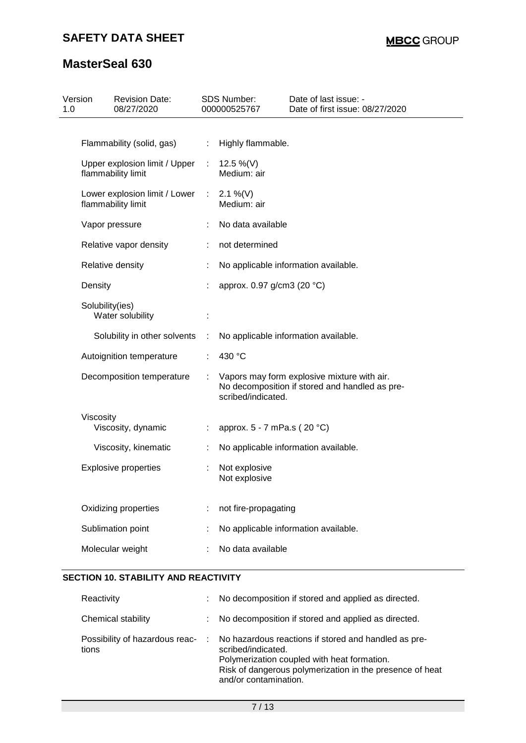| 1.0 | Version<br><b>Revision Date:</b><br>08/27/2020      |    | <b>SDS Number:</b><br>000000525767 | Date of last issue: -<br>Date of first issue: 08/27/2020                                      |
|-----|-----------------------------------------------------|----|------------------------------------|-----------------------------------------------------------------------------------------------|
|     |                                                     |    |                                    |                                                                                               |
|     | Flammability (solid, gas)                           | ÷  | Highly flammable.                  |                                                                                               |
|     | Upper explosion limit / Upper<br>flammability limit |    | 12.5 %(V)<br>Medium: air           |                                                                                               |
|     | Lower explosion limit / Lower<br>flammability limit | ÷. | 2.1 %(V)<br>Medium: air            |                                                                                               |
|     | Vapor pressure                                      |    | No data available                  |                                                                                               |
|     | Relative vapor density                              | t. | not determined                     |                                                                                               |
|     | Relative density                                    |    |                                    | No applicable information available.                                                          |
|     | Density                                             |    | approx. 0.97 g/cm3 (20 °C)         |                                                                                               |
|     | Solubility(ies)<br>Water solubility                 |    |                                    |                                                                                               |
|     | Solubility in other solvents                        |    |                                    | No applicable information available.                                                          |
|     | Autoignition temperature                            |    | 430 °C                             |                                                                                               |
|     | Decomposition temperature                           |    | scribed/indicated.                 | Vapors may form explosive mixture with air.<br>No decomposition if stored and handled as pre- |
|     | Viscosity<br>Viscosity, dynamic                     |    | approx. 5 - 7 mPa.s (20 °C)        |                                                                                               |
|     | Viscosity, kinematic                                |    |                                    | No applicable information available.                                                          |
|     | <b>Explosive properties</b>                         |    | Not explosive<br>Not explosive     |                                                                                               |
|     | Oxidizing properties                                |    | not fire-propagating               |                                                                                               |
|     | Sublimation point                                   |    |                                    | No applicable information available.                                                          |
|     | Molecular weight                                    |    | No data available                  |                                                                                               |
|     |                                                     |    |                                    |                                                                                               |

#### **SECTION 10. STABILITY AND REACTIVITY**

| Reactivity                              | ÷ | No decomposition if stored and applied as directed.                                                                                                                                                            |
|-----------------------------------------|---|----------------------------------------------------------------------------------------------------------------------------------------------------------------------------------------------------------------|
| Chemical stability                      | ÷ | No decomposition if stored and applied as directed.                                                                                                                                                            |
| Possibility of hazardous reac-<br>tions | ÷ | No hazardous reactions if stored and handled as pre-<br>scribed/indicated.<br>Polymerization coupled with heat formation.<br>Risk of dangerous polymerization in the presence of heat<br>and/or contamination. |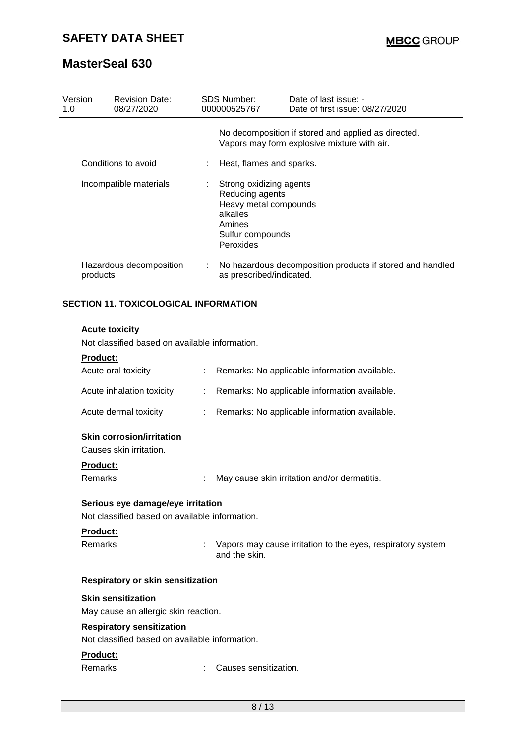| Version<br>1.0 | <b>Revision Date:</b><br>08/27/2020 | SDS Number:<br>000000525767           | Date of last issue: -<br>Date of first issue: 08/27/2020                                           |
|----------------|-------------------------------------|---------------------------------------|----------------------------------------------------------------------------------------------------|
|                |                                     |                                       | No decomposition if stored and applied as directed.<br>Vapors may form explosive mixture with air. |
|                | Conditions to avoid                 |                                       | Heat, flames and sparks.                                                                           |
|                | Incompatible materials              | ÷.<br>alkalies<br>Amines<br>Peroxides | Strong oxidizing agents<br>Reducing agents<br>Heavy metal compounds<br>Sulfur compounds            |
| products       | Hazardous decomposition             |                                       | No hazardous decomposition products if stored and handled<br>as prescribed/indicated.              |

### **SECTION 11. TOXICOLOGICAL INFORMATION**

#### **Acute toxicity**

Not classified based on available information.

| <b>Product:</b>                                                                    |   |                                                                              |
|------------------------------------------------------------------------------------|---|------------------------------------------------------------------------------|
| Acute oral toxicity                                                                |   | Remarks: No applicable information available.                                |
| Acute inhalation toxicity                                                          | ÷ | Remarks: No applicable information available.                                |
| Acute dermal toxicity                                                              |   | Remarks: No applicable information available.                                |
| <b>Skin corrosion/irritation</b><br>Causes skin irritation.                        |   |                                                                              |
| Product:                                                                           |   |                                                                              |
| Remarks                                                                            |   | May cause skin irritation and/or dermatitis.                                 |
| Serious eye damage/eye irritation                                                  |   |                                                                              |
| Not classified based on available information.                                     |   |                                                                              |
| <b>Product:</b>                                                                    |   |                                                                              |
| Remarks                                                                            | ÷ | Vapors may cause irritation to the eyes, respiratory system<br>and the skin. |
| <b>Respiratory or skin sensitization</b>                                           |   |                                                                              |
| <b>Skin sensitization</b>                                                          |   |                                                                              |
| May cause an allergic skin reaction.                                               |   |                                                                              |
| <b>Respiratory sensitization</b><br>Not classified based on available information. |   |                                                                              |
| Product:                                                                           |   |                                                                              |
| Remarks                                                                            |   | Causes sensitization.                                                        |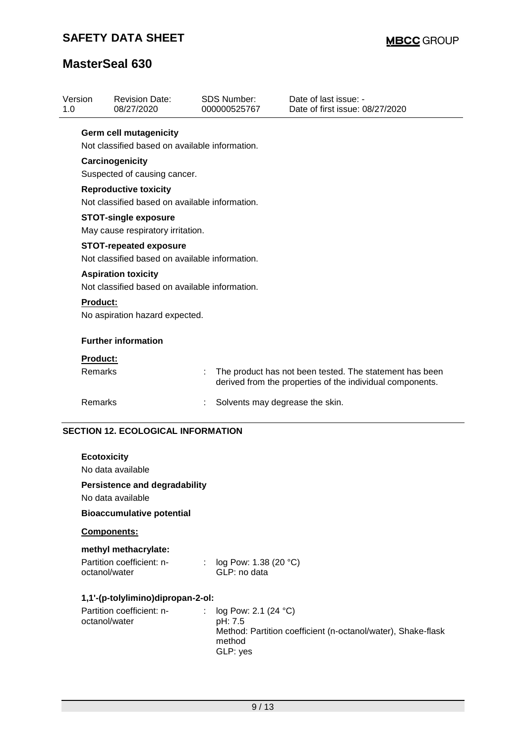| Version<br>1.0 |                                                                                 | <b>Revision Date:</b><br>08/27/2020                                             |  | <b>SDS Number:</b><br>000000525767 | Date of last issue: -<br>Date of first issue: 08/27/2020                                                             |
|----------------|---------------------------------------------------------------------------------|---------------------------------------------------------------------------------|--|------------------------------------|----------------------------------------------------------------------------------------------------------------------|
|                |                                                                                 | <b>Germ cell mutagenicity</b><br>Not classified based on available information. |  |                                    |                                                                                                                      |
|                | Carcinogenicity<br>Suspected of causing cancer.                                 |                                                                                 |  |                                    |                                                                                                                      |
|                |                                                                                 | <b>Reproductive toxicity</b><br>Not classified based on available information.  |  |                                    |                                                                                                                      |
|                | <b>STOT-single exposure</b><br>May cause respiratory irritation.                |                                                                                 |  |                                    |                                                                                                                      |
|                | <b>STOT-repeated exposure</b><br>Not classified based on available information. |                                                                                 |  |                                    |                                                                                                                      |
|                | <b>Aspiration toxicity</b><br>Not classified based on available information.    |                                                                                 |  |                                    |                                                                                                                      |
|                | <b>Product:</b><br>No aspiration hazard expected.                               |                                                                                 |  |                                    |                                                                                                                      |
|                | <b>Further information</b>                                                      |                                                                                 |  |                                    |                                                                                                                      |
|                | <b>Product:</b>                                                                 |                                                                                 |  |                                    |                                                                                                                      |
|                | Remarks                                                                         |                                                                                 |  |                                    | The product has not been tested. The statement has been<br>derived from the properties of the individual components. |
|                | Remarks                                                                         |                                                                                 |  | Solvents may degrease the skin.    |                                                                                                                      |

### **SECTION 12. ECOLOGICAL INFORMATION**

| <b>Ecotoxicity</b><br>No data available<br>Persistence and degradability<br>No data available<br><b>Bioaccumulative potential</b> |                                                                                                                           |
|-----------------------------------------------------------------------------------------------------------------------------------|---------------------------------------------------------------------------------------------------------------------------|
| <b>Components:</b>                                                                                                                |                                                                                                                           |
| methyl methacrylate:<br>Partition coefficient: n-<br>$\mathbb{Z}^{\times}$<br>octanol/water                                       | log Pow: 1.38 (20 $^{\circ}$ C)<br>GLP: no data                                                                           |
| 1,1'-(p-tolylimino)dipropan-2-ol:                                                                                                 |                                                                                                                           |
| Partition coefficient: n-<br>octanol/water                                                                                        | : $log Pow: 2.1 (24 °C)$<br>pH: 7.5<br>Method: Partition coefficient (n-octanol/water), Shake-flask<br>method<br>GLP: yes |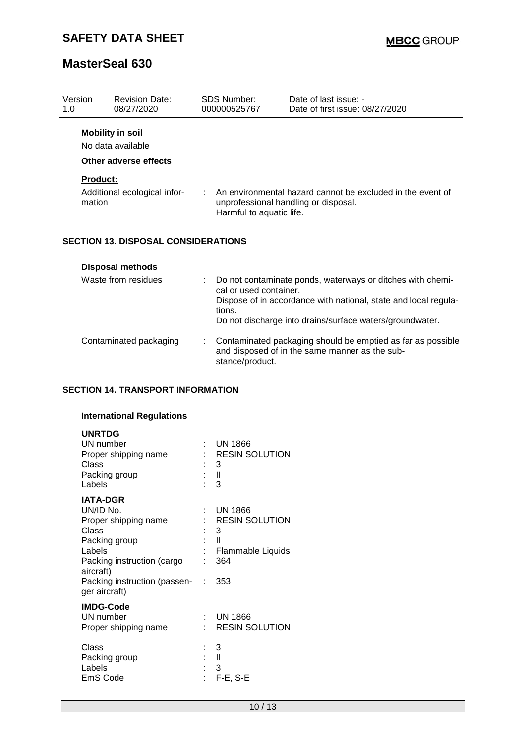| Version<br>1.0 | <b>Revision Date:</b><br>08/27/2020                                   |   | SDS Number:<br>000000525767      | Date of last issue: -<br>Date of first issue: 08/27/2020                                                                                                                                  |
|----------------|-----------------------------------------------------------------------|---|----------------------------------|-------------------------------------------------------------------------------------------------------------------------------------------------------------------------------------------|
|                | <b>Mobility in soil</b><br>No data available<br>Other adverse effects |   |                                  |                                                                                                                                                                                           |
|                | <b>Product:</b>                                                       |   |                                  |                                                                                                                                                                                           |
|                | Additional ecological infor-<br>mation                                |   | Harmful to aquatic life.         | An environmental hazard cannot be excluded in the event of<br>unprofessional handling or disposal.                                                                                        |
|                | <b>SECTION 13. DISPOSAL CONSIDERATIONS</b>                            |   |                                  |                                                                                                                                                                                           |
|                | <b>Disposal methods</b>                                               |   |                                  |                                                                                                                                                                                           |
|                | Waste from residues                                                   |   | cal or used container.<br>tions. | Do not contaminate ponds, waterways or ditches with chemi-<br>Dispose of in accordance with national, state and local regula-<br>Do not discharge into drains/surface waters/groundwater. |
|                | Contaminated packaging                                                | t | stance/product.                  | Contaminated packaging should be emptied as far as possible<br>and disposed of in the same manner as the sub-                                                                             |

#### **SECTION 14. TRANSPORT INFORMATION**

#### **International Regulations**

| <b>UNRTDG</b><br>UN number<br>Proper shipping name<br>Class<br>Packing group<br>Labels                                                                                                 | t.<br>t.<br>÷. | UN 1866<br><b>RESIN SOLUTION</b><br>3<br>$\blacksquare$<br>- 3                   |
|----------------------------------------------------------------------------------------------------------------------------------------------------------------------------------------|----------------|----------------------------------------------------------------------------------|
| <b>IATA-DGR</b><br>UN/ID No.<br>Proper shipping name<br>Class<br>Packing group<br>Labels<br>Packing instruction (cargo<br>aircraft)<br>Packing instruction (passen- :<br>ger aircraft) | t.<br>t.<br>t. | UN 1866<br><b>RESIN SOLUTION</b><br>3<br>: II<br>Flammable Liquids<br>364<br>353 |
| <b>IMDG-Code</b><br>UN number<br>Proper shipping name<br>Class<br>Packing group<br>Labels<br>EmS Code                                                                                  |                | $:$ UN 1866<br><b>RESIN SOLUTION</b><br>3<br>: II<br>: 3<br>$F-E, S-E$           |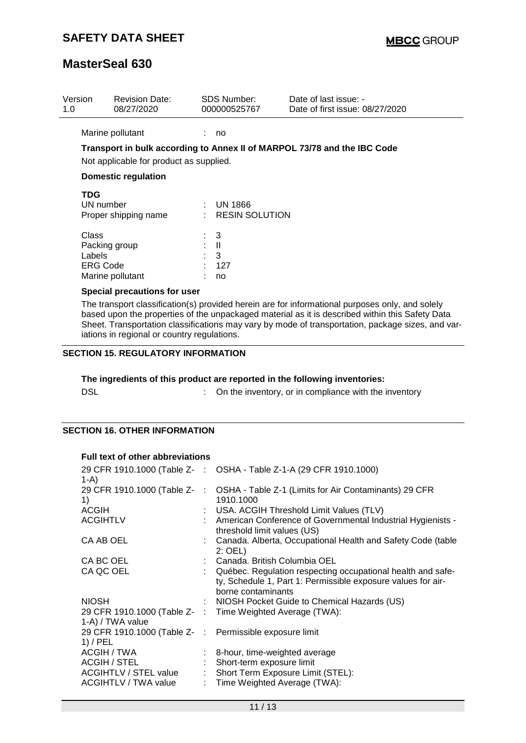| Version<br>1.0 |                                                                                                 | <b>Revision Date:</b><br>08/27/2020     |                        | <b>SDS Number:</b><br>000000525767         | Date of last issue: -<br>Date of first issue: 08/27/2020                                        |
|----------------|-------------------------------------------------------------------------------------------------|-----------------------------------------|------------------------|--------------------------------------------|-------------------------------------------------------------------------------------------------|
|                |                                                                                                 | Marine pollutant                        |                        | no                                         |                                                                                                 |
|                |                                                                                                 | Not applicable for product as supplied. |                        |                                            | Transport in bulk according to Annex II of MARPOL 73/78 and the IBC Code                        |
|                |                                                                                                 | <b>Domestic regulation</b>              |                        |                                            |                                                                                                 |
|                | <b>TDG</b><br>UN number                                                                         | Proper shipping name                    |                        | $\therefore$ UN 1866<br>$:$ RESIN SOLUTION |                                                                                                 |
|                | Class<br>Packing group<br>Labels<br><b>ERG Code</b>                                             | Marine pollutant                        | $\therefore$ 3<br>: II | 3<br>127<br>no                             |                                                                                                 |
|                |                                                                                                 | Special precautions for user            |                        |                                            | The transport classification(s) provided herein are for informational purposes only, and solely |
|                | based upon the properties of the unpackaged material as it is described within this Safety Data |                                         |                        |                                            |                                                                                                 |

#### **SECTION 15. REGULATORY INFORMATION**

iations in regional or country regulations.

# **The ingredients of this product are reported in the following inventories:**

| <b>DSL</b><br>On the inventory, or in compliance with the inventory |
|---------------------------------------------------------------------|
|---------------------------------------------------------------------|

Sheet. Transportation classifications may vary by mode of transportation, package sizes, and var-

### **SECTION 16. OTHER INFORMATION**

#### **Full text of other abbreviations**

| $1-A$                                                                 | 29 CFR 1910.1000 (Table Z- : OSHA - Table Z-1-A (29 CFR 1910.1000)                                                                                  |
|-----------------------------------------------------------------------|-----------------------------------------------------------------------------------------------------------------------------------------------------|
| 29 CFR 1910.1000 (Table Z-<br>1)                                      | : OSHA - Table Z-1 (Limits for Air Contaminants) 29 CFR<br>1910.1000                                                                                |
| <b>ACGIH</b>                                                          | : USA. ACGIH Threshold Limit Values (TLV)                                                                                                           |
| <b>ACGIHTLV</b>                                                       | : American Conference of Governmental Industrial Hygienists -<br>threshold limit values (US)                                                        |
| CA AB OEL                                                             | : Canada. Alberta, Occupational Health and Safety Code (table<br>$2:$ OEL)                                                                          |
| CA BC OEL                                                             | : Canada. British Columbia OEL                                                                                                                      |
| CA QC OEL                                                             | : Québec. Regulation respecting occupational health and safe-<br>ty, Schedule 1, Part 1: Permissible exposure values for air-<br>borne contaminants |
| <b>NIOSH</b>                                                          | : NIOSH Pocket Guide to Chemical Hazards (US)                                                                                                       |
| 1-A) / TWA value                                                      | 29 CFR 1910.1000 (Table Z- : Time Weighted Average (TWA):                                                                                           |
| 29 CFR 1910.1000 (Table Z- : Permissible exposure limit<br>$1)$ / PEL |                                                                                                                                                     |
| ACGIH / TWA                                                           | : 8-hour, time-weighted average                                                                                                                     |
| ACGIH / STEL                                                          | Short-term exposure limit                                                                                                                           |
| <b>ACGIHTLV / STEL value</b>                                          | : Short Term Exposure Limit (STEL):                                                                                                                 |
| ACGIHTLV / TWA value                                                  | : Time Weighted Average (TWA):                                                                                                                      |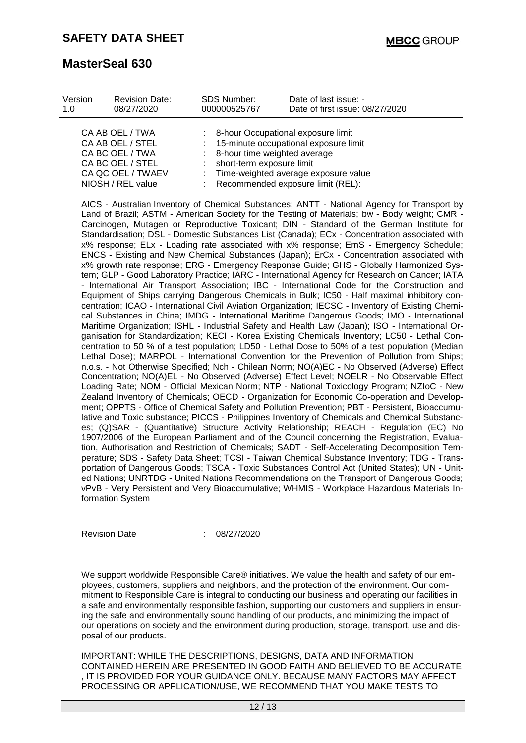| Version<br>1.0                                                                                  | <b>Revision Date:</b><br>08/27/2020 | <b>SDS Number:</b><br>000000525767                          | Date of last issue: -<br>Date of first issue: 08/27/2020                                                                  |
|-------------------------------------------------------------------------------------------------|-------------------------------------|-------------------------------------------------------------|---------------------------------------------------------------------------------------------------------------------------|
| CA AB OEL / TWA<br>CA AB OEL / STEL<br>CA BC OEL / TWA<br>CA BC OEL / STEL<br>CA QC OEL / TWAEV |                                     | : 8-hour time weighted average<br>short-term exposure limit | : 8-hour Occupational exposure limit<br>: 15-minute occupational exposure limit<br>: Time-weighted average exposure value |
| NIOSH / REL value                                                                               |                                     | : Recommended exposure limit (REL):                         |                                                                                                                           |

AICS - Australian Inventory of Chemical Substances; ANTT - National Agency for Transport by Land of Brazil; ASTM - American Society for the Testing of Materials; bw - Body weight; CMR - Carcinogen, Mutagen or Reproductive Toxicant; DIN - Standard of the German Institute for Standardisation; DSL - Domestic Substances List (Canada); ECx - Concentration associated with x% response; ELx - Loading rate associated with x% response; EmS - Emergency Schedule; ENCS - Existing and New Chemical Substances (Japan); ErCx - Concentration associated with x% growth rate response; ERG - Emergency Response Guide; GHS - Globally Harmonized System; GLP - Good Laboratory Practice; IARC - International Agency for Research on Cancer; IATA - International Air Transport Association; IBC - International Code for the Construction and Equipment of Ships carrying Dangerous Chemicals in Bulk; IC50 - Half maximal inhibitory concentration; ICAO - International Civil Aviation Organization; IECSC - Inventory of Existing Chemical Substances in China; IMDG - International Maritime Dangerous Goods; IMO - International Maritime Organization; ISHL - Industrial Safety and Health Law (Japan); ISO - International Organisation for Standardization; KECI - Korea Existing Chemicals Inventory; LC50 - Lethal Concentration to 50 % of a test population; LD50 - Lethal Dose to 50% of a test population (Median Lethal Dose); MARPOL - International Convention for the Prevention of Pollution from Ships; n.o.s. - Not Otherwise Specified; Nch - Chilean Norm; NO(A)EC - No Observed (Adverse) Effect Concentration; NO(A)EL - No Observed (Adverse) Effect Level; NOELR - No Observable Effect Loading Rate; NOM - Official Mexican Norm; NTP - National Toxicology Program; NZIoC - New Zealand Inventory of Chemicals; OECD - Organization for Economic Co-operation and Development; OPPTS - Office of Chemical Safety and Pollution Prevention; PBT - Persistent, Bioaccumulative and Toxic substance; PICCS - Philippines Inventory of Chemicals and Chemical Substances; (Q)SAR - (Quantitative) Structure Activity Relationship; REACH - Regulation (EC) No 1907/2006 of the European Parliament and of the Council concerning the Registration, Evaluation, Authorisation and Restriction of Chemicals; SADT - Self-Accelerating Decomposition Temperature; SDS - Safety Data Sheet; TCSI - Taiwan Chemical Substance Inventory; TDG - Transportation of Dangerous Goods; TSCA - Toxic Substances Control Act (United States); UN - United Nations; UNRTDG - United Nations Recommendations on the Transport of Dangerous Goods; vPvB - Very Persistent and Very Bioaccumulative; WHMIS - Workplace Hazardous Materials Information System

Revision Date : 08/27/2020

We support worldwide Responsible Care® initiatives. We value the health and safety of our employees, customers, suppliers and neighbors, and the protection of the environment. Our commitment to Responsible Care is integral to conducting our business and operating our facilities in a safe and environmentally responsible fashion, supporting our customers and suppliers in ensuring the safe and environmentally sound handling of our products, and minimizing the impact of our operations on society and the environment during production, storage, transport, use and disposal of our products.

IMPORTANT: WHILE THE DESCRIPTIONS, DESIGNS, DATA AND INFORMATION CONTAINED HEREIN ARE PRESENTED IN GOOD FAITH AND BELIEVED TO BE ACCURATE , IT IS PROVIDED FOR YOUR GUIDANCE ONLY. BECAUSE MANY FACTORS MAY AFFECT PROCESSING OR APPLICATION/USE, WE RECOMMEND THAT YOU MAKE TESTS TO